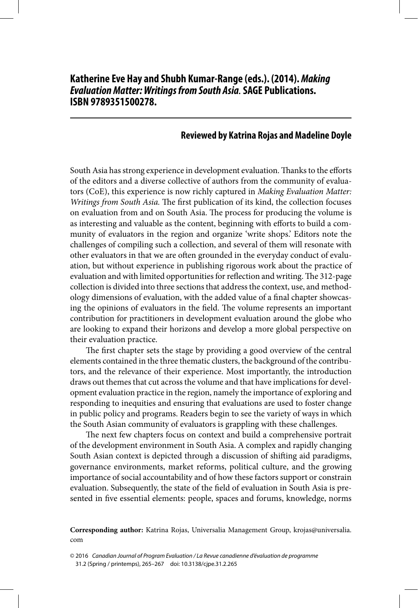## **Reviewed by Katrina Rojas and Madeline Doyle**

South Asia has strong experience in development evaluation. Thanks to the efforts of the editors and a diverse collective of authors from the community of evaluators (CoE), this experience is now richly captured in Making Evaluation Matter: Writings from South Asia. The first publication of its kind, the collection focuses on evaluation from and on South Asia. The process for producing the volume is as interesting and valuable as the content, beginning with efforts to build a community of evaluators in the region and organize 'write shops.' Editors note the challenges of compiling such a collection, and several of them will resonate with other evaluators in that we are often grounded in the everyday conduct of evaluation, but without experience in publishing rigorous work about the practice of evaluation and with limited opportunities for reflection and writing. The 312-page collection is divided into three sections that address the context, use, and methodology dimensions of evaluation, with the added value of a final chapter showcasing the opinions of evaluators in the field. The volume represents an important contribution for practitioners in development evaluation around the globe who are looking to expand their horizons and develop a more global perspective on their evaluation practice.

The first chapter sets the stage by providing a good overview of the central elements contained in the three thematic clusters, the background of the contributors, and the relevance of their experience. Most importantly, the introduction draws out themes that cut across the volume and that have implications for development evaluation practice in the region, namely the importance of exploring and responding to inequities and ensuring that evaluations are used to foster change in public policy and programs. Readers begin to see the variety of ways in which the South Asian community of evaluators is grappling with these challenges.

The next few chapters focus on context and build a comprehensive portrait of the development environment in South Asia. A complex and rapidly changing South Asian context is depicted through a discussion of shifting aid paradigms, governance environments, market reforms, political culture, and the growing importance of social accountability and of how these factors support or constrain evaluation. Subsequently, the state of the field of evaluation in South Asia is presented in five essential elements: people, spaces and forums, knowledge, norms

**Corresponding author:** Katrina Rojas, Universalia Management Group, krojas@universalia. com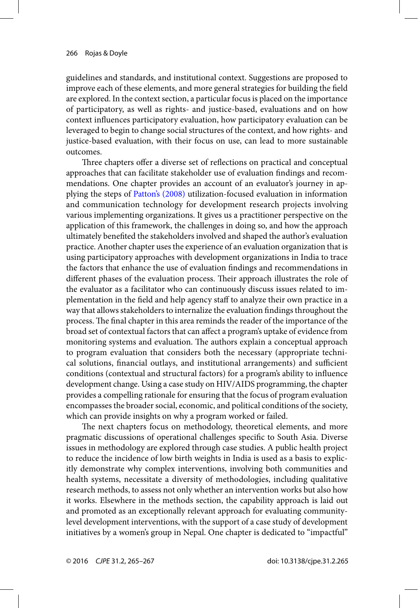<span id="page-1-0"></span>guidelines and standards, and institutional context. Suggestions are proposed to improve each of these elements, and more general strategies for building the field are explored. In the context section, a particular focus is placed on the importance of participatory, as well as rights- and justice-based, evaluations and on how context influences participatory evaluation, how participatory evaluation can be leveraged to begin to change social structures of the context, and how rights- and justice-based evaluation, with their focus on use, can lead to more sustainable outcomes.

Three chapters offer a diverse set of reflections on practical and conceptual approaches that can facilitate stakeholder use of evaluation findings and recommendations. One chapter provides an account of an evaluator's journey in applying the steps of [Patton's \(2008\)](#page-2-0) utilization-focused evaluation in information and communication technology for development research projects involving various implementing organizations. It gives us a practitioner perspective on the application of this framework, the challenges in doing so, and how the approach ultimately benefited the stakeholders involved and shaped the author's evaluation practice. Another chapter uses the experience of an evaluation organization that is using participatory approaches with development organizations in India to trace the factors that enhance the use of evaluation findings and recommendations in different phases of the evaluation process. Their approach illustrates the role of the evaluator as a facilitator who can continuously discuss issues related to implementation in the field and help agency staff to analyze their own practice in a way that allows stakeholders to internalize the evaluation findings throughout the process. The final chapter in this area reminds the reader of the importance of the broad set of contextual factors that can affect a program's uptake of evidence from monitoring systems and evaluation. The authors explain a conceptual approach to program evaluation that considers both the necessary (appropriate technical solutions, financial outlays, and institutional arrangements) and sufficient conditions (contextual and structural factors) for a program's ability to influence development change. Using a case study on HIV/AIDS programming, the chapter provides a compelling rationale for ensuring that the focus of program evaluation encompasses the broader social, economic, and political conditions of the society, which can provide insights on why a program worked or failed.

The next chapters focus on methodology, theoretical elements, and more pragmatic discussions of operational challenges specific to South Asia. Diverse issues in methodology are explored through case studies. A public health project to reduce the incidence of low birth weights in India is used as a basis to explicitly demonstrate why complex interventions, involving both communities and health systems, necessitate a diversity of methodologies, including qualitative research methods, to assess not only whether an intervention works but also how it works. Elsewhere in the methods section, the capability approach is laid out and promoted as an exceptionally relevant approach for evaluating communitylevel development interventions, with the support of a case study of development initiatives by a women's group in Nepal. One chapter is dedicated to "impactful"